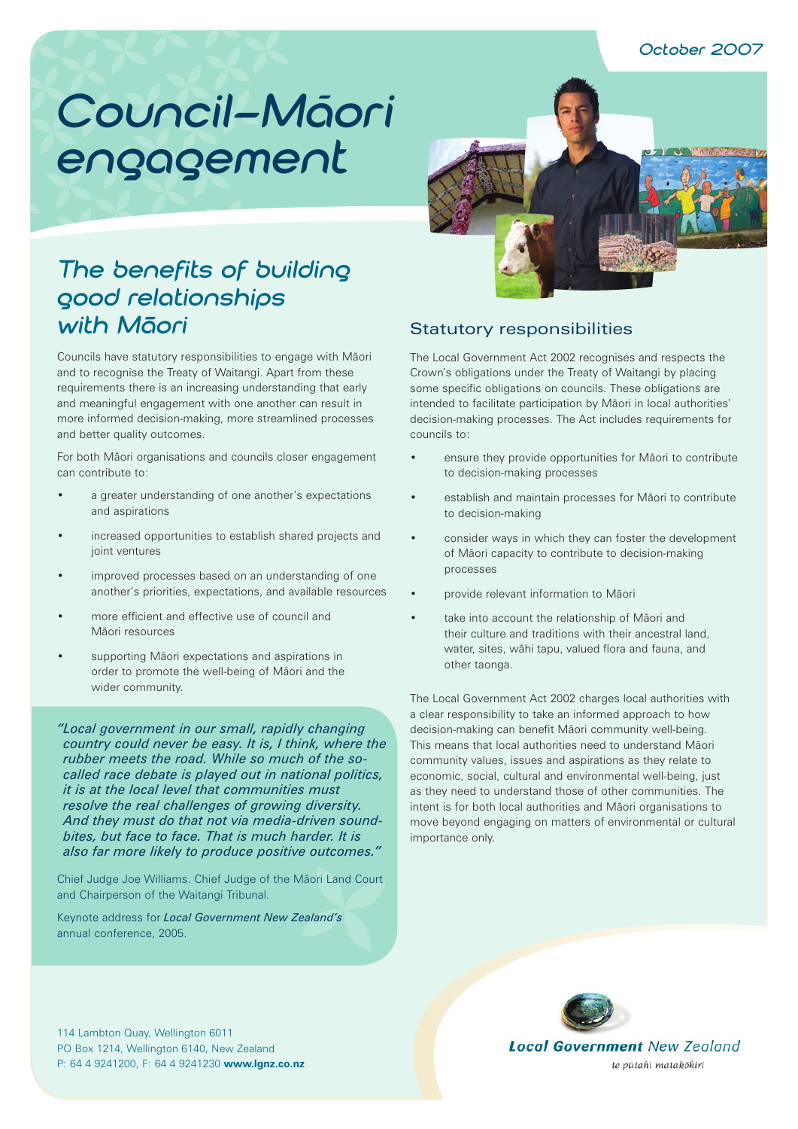# Council–Māori **engagement**



# **The benefits of building good relationships**  with M<sub>aori</sub>

Councils have statutory responsibilities to engage with Mäori and to recognise the Treaty of Waitangi. Apart from these requirements there is an increasing understanding that early and meaningful engagement with one another can result in more informed decision-making, more streamlined processes and better quality outcomes.

For both Mäori organisations and councils closer engagement can contribute to:

- a greater understanding of one another's expectations and aspirations
- increased opportunities to establish shared projects and joint ventures
- improved processes based on an understanding of one another's priorities, expectations, and available resources
- more efficient and effective use of council and Mäori resources
- supporting Māori expectations and aspirations in order to promote the well-being of Mäori and the wider community.

*"Local government in our small, rapidly changing country could never be easy. It is, I think, where the rubber meets the road. While so much of the socalled race debate is played out in national politics, it is at the local level that communities must resolve the real challenges of growing diversity. And they must do that not via media-driven soundbites, but face to face. That is much harder. It is also far more likely to produce positive outcomes."* 

Chief Judge Joe Williams. Chief Judge of the Mäori Land Court and Chairperson of the Waitangi Tribunal.

Keynote address for *Local Government New Zealand's* annual conference, 2005.

### Statutory responsibilities

The Local Government Act 2002 recognises and respects the Crown's obligations under the Treaty of Waitangi by placing some specific obligations on councils. These obligations are intended to facilitate participation by Mäori in local authorities' decision-making processes. The Act includes requirements for councils to:

- ensure they provide opportunities for Māori to contribute to decision-making processes
- establish and maintain processes for Mäori to contribute to decision-making
- consider ways in which they can foster the development of Mäori capacity to contribute to decision-making processes
- provide relevant information to Mäori
- take into account the relationship of Mäori and their culture and traditions with their ancestral land, water, sites, wähi tapu, valued flora and fauna, and other taonga.

The Local Government Act 2002 charges local authorities with a clear responsibility to take an informed approach to how decision-making can benefit Mäori community well-being. This means that local authorities need to understand Mäori community values, issues and aspirations as they relate to economic, social, cultural and environmental well-being, just as they need to understand those of other communities. The intent is for both local authorities and Mäori organisations to move beyond engaging on matters of environmental or cultural importance only.



114 Lambton Quay, Wellington 6011 PO Box 1214, Wellington 6140, New Zealand P: 64 4 9241200, F: 64 4 9241230 **www.lgnz.co.nz**